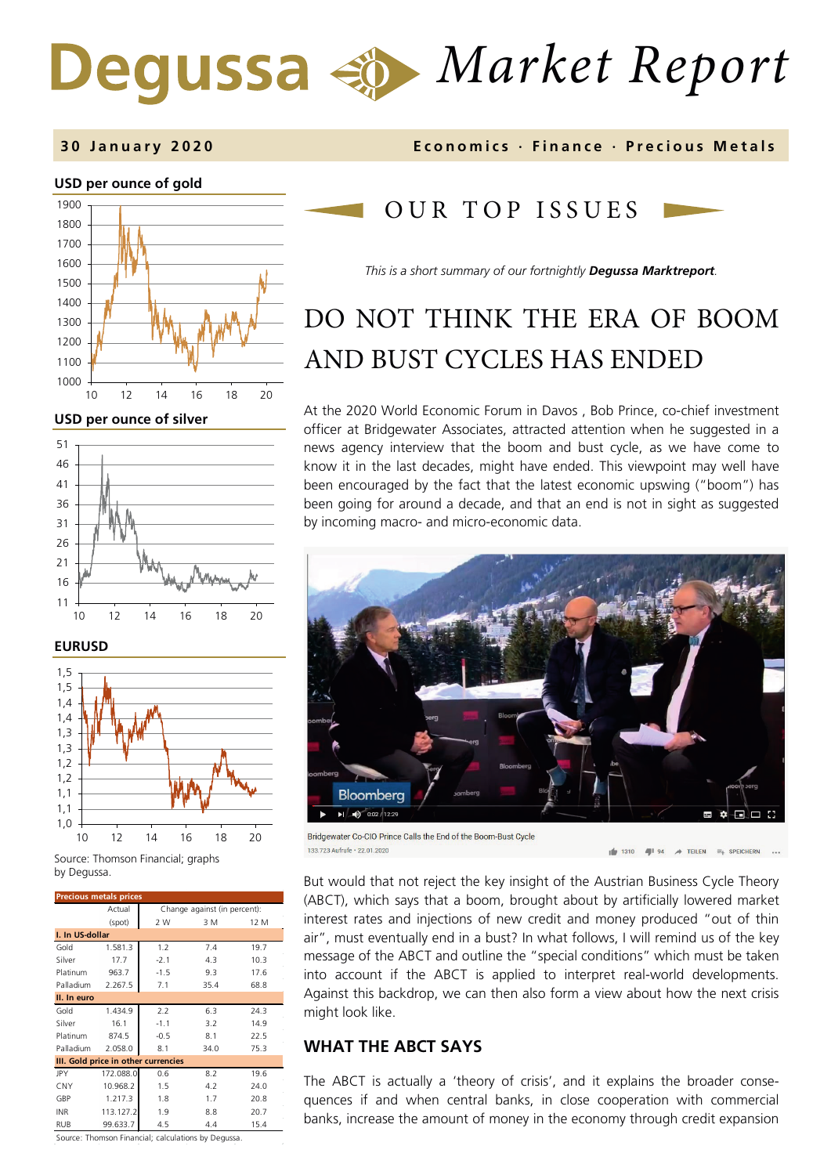# *Market Report*



**USD per ounce of silver** 







Source: Thomson Financial; graphs by Degussa.

| <b>Precious metals prices</b>       |           |                              |      |      |  |
|-------------------------------------|-----------|------------------------------|------|------|--|
|                                     | Actual    | Change against (in percent): |      |      |  |
|                                     | (spot)    | 2 W                          | 3 M  | 12 M |  |
| I. In US-dollar                     |           |                              |      |      |  |
| Gold                                | 1.581.3   | 1.2                          | 7.4  | 19.7 |  |
| Silver                              | 17.7      | $-2.1$                       | 4.3  | 10.3 |  |
| Platinum                            | 963.7     | $-1.5$                       | 9.3  | 17.6 |  |
| Palladium                           | 2.267.5   | 7.1                          | 35.4 | 68.8 |  |
| II. In euro                         |           |                              |      |      |  |
| Gold                                | 1.434.9   | 2.2                          | 6.3  | 24.3 |  |
| Silver                              | 16.1      | $-1.1$                       | 3.2  | 14.9 |  |
| Platinum                            | 874.5     | $-0.5$                       | 8.1  | 22.5 |  |
| Palladium                           | 2.058.0   | 8.1                          | 34.0 | 75.3 |  |
| III. Gold price in other currencies |           |                              |      |      |  |
| JPY                                 | 172.088.0 | 0.6                          | 8.2  | 19.6 |  |
| CNY                                 | 10.968.2  | 1.5                          | 4.2  | 24.0 |  |
| GBP                                 | 1.217.3   | 1.8                          | 1.7  | 20.8 |  |
| <b>INR</b>                          | 113.127.2 | 1.9                          | 8.8  | 20.7 |  |
| <b>RUB</b>                          | 99.633.7  | 4.5                          | 4.4  | 15.4 |  |

**3 0 January 2 0 2 0 Economics · Finance · Precious Metals**

## OUR TOP ISSUE S

*This is a short summary of our fortnightly Degussa Marktreport.*

## DO NOT THINK THE ERA OF BOOM AND BUST CYCLES HAS ENDED

At the 2020 World Economic Forum in Davos , Bob Prince, co-chief investment officer at Bridgewater Associates, attracted attention when he suggested in a news agency interview that the boom and bust cycle, as we have come to know it in the last decades, might have ended. This viewpoint may well have been encouraged by the fact that the latest economic upswing ("boom") has been going for around a decade, and that an end is not in sight as suggested by incoming macro- and micro-economic data.



Bridgewater Co-CIO Prince Calls the End of the Boom-Bust Cycle 133.723 Aufrufe · 22.01.2020

 $1/2$  1310  $\rightarrow$  TEILEN  $\equiv_+$  SPEICHERN All 94

But would that not reject the key insight of the Austrian Business Cycle Theory (ABCT), which says that a boom, brought about by artificially lowered market interest rates and injections of new credit and money produced "out of thin air", must eventually end in a bust? In what follows, I will remind us of the key message of the ABCT and outline the "special conditions" which must be taken into account if the ABCT is applied to interpret real-world developments. Against this backdrop, we can then also form a view about how the next crisis might look like.

#### **WHAT THE ABCT SAYS**

The ABCT is actually a 'theory of crisis', and it explains the broader consequences if and when central banks, in close cooperation with commercial banks, increase the amount of money in the economy through credit expansion

Source: Thomson Financial; calculations by Degussa.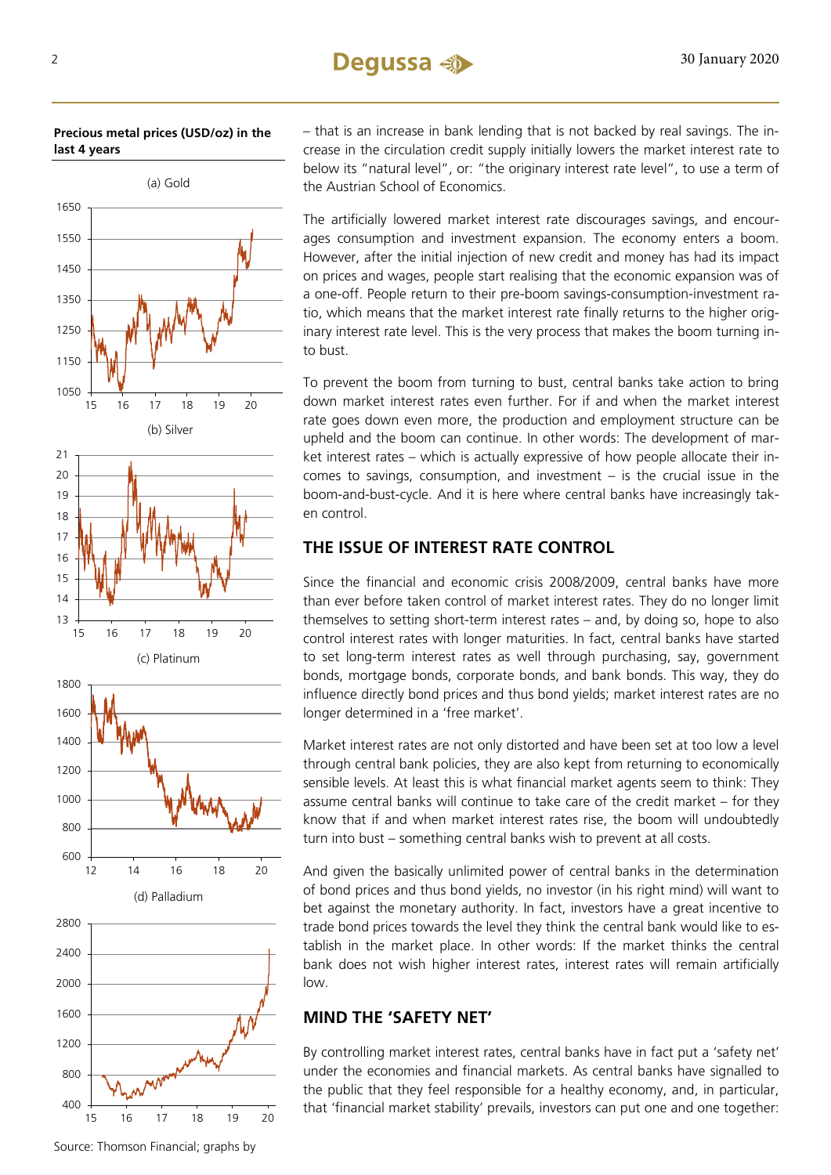**Precious metal prices (USD/oz) in the last 4 years**



– that is an increase in bank lending that is not backed by real savings. The increase in the circulation credit supply initially lowers the market interest rate to below its "natural level", or: "the originary interest rate level", to use a term of the Austrian School of Economics.

The artificially lowered market interest rate discourages savings, and encourages consumption and investment expansion. The economy enters a boom. However, after the initial injection of new credit and money has had its impact on prices and wages, people start realising that the economic expansion was of a one-off. People return to their pre-boom savings-consumption-investment ratio, which means that the market interest rate finally returns to the higher originary interest rate level. This is the very process that makes the boom turning into bust.

To prevent the boom from turning to bust, central banks take action to bring down market interest rates even further. For if and when the market interest rate goes down even more, the production and employment structure can be upheld and the boom can continue. In other words: The development of market interest rates – which is actually expressive of how people allocate their incomes to savings, consumption, and investment – is the crucial issue in the boom-and-bust-cycle. And it is here where central banks have increasingly taken control.

### **THE ISSUE OF INTEREST RATE CONTROL**

Since the financial and economic crisis 2008/2009, central banks have more than ever before taken control of market interest rates. They do no longer limit themselves to setting short-term interest rates – and, by doing so, hope to also control interest rates with longer maturities. In fact, central banks have started to set long-term interest rates as well through purchasing, say, government bonds, mortgage bonds, corporate bonds, and bank bonds. This way, they do influence directly bond prices and thus bond yields; market interest rates are no longer determined in a 'free market'.

Market interest rates are not only distorted and have been set at too low a level through central bank policies, they are also kept from returning to economically sensible levels. At least this is what financial market agents seem to think: They assume central banks will continue to take care of the credit market – for they know that if and when market interest rates rise, the boom will undoubtedly turn into bust – something central banks wish to prevent at all costs.

And given the basically unlimited power of central banks in the determination of bond prices and thus bond yields, no investor (in his right mind) will want to bet against the monetary authority. In fact, investors have a great incentive to trade bond prices towards the level they think the central bank would like to establish in the market place. In other words: If the market thinks the central bank does not wish higher interest rates, interest rates will remain artificially low.

#### **MIND THE 'SAFETY NET'**

By controlling market interest rates, central banks have in fact put a 'safety net' under the economies and financial markets. As central banks have signalled to the public that they feel responsible for a healthy economy, and, in particular, that 'financial market stability' prevails, investors can put one and one together:

15 16 17 18 19 20

400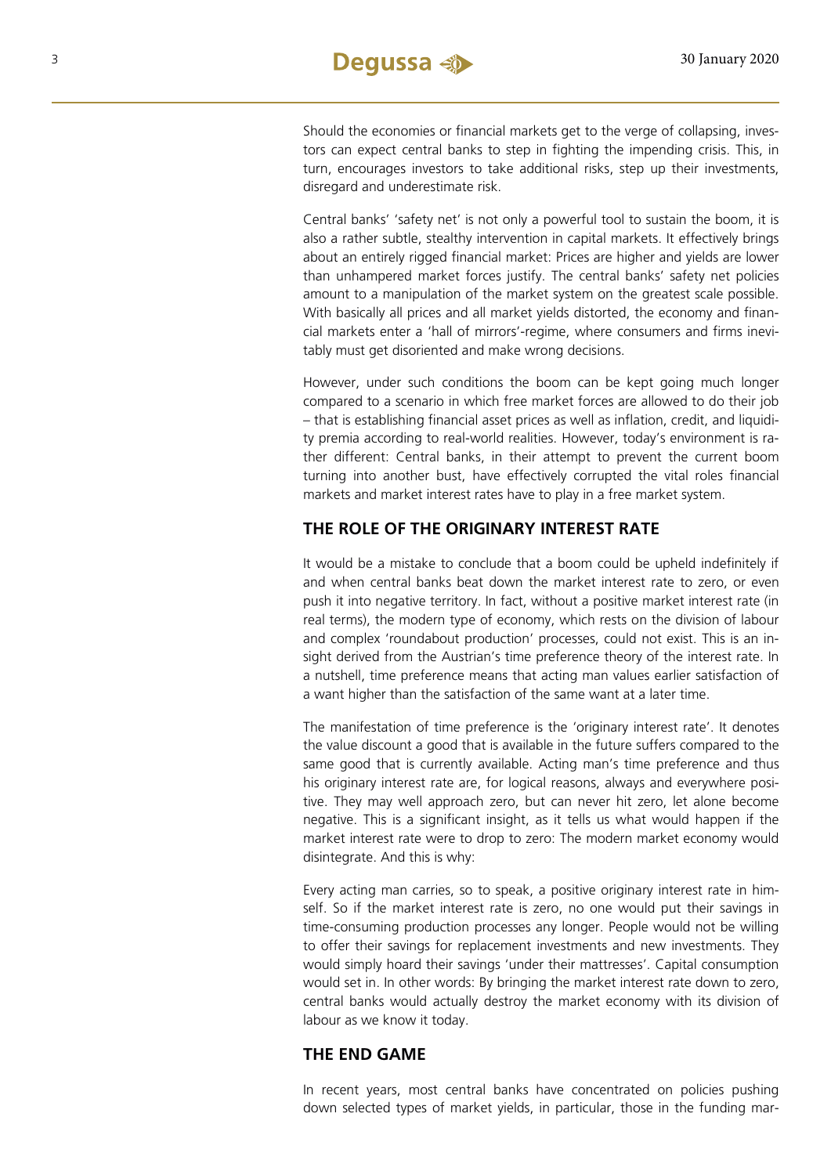Should the economies or financial markets get to the verge of collapsing, investors can expect central banks to step in fighting the impending crisis. This, in turn, encourages investors to take additional risks, step up their investments, disregard and underestimate risk.

Central banks' 'safety net' is not only a powerful tool to sustain the boom, it is also a rather subtle, stealthy intervention in capital markets. It effectively brings about an entirely rigged financial market: Prices are higher and yields are lower than unhampered market forces justify. The central banks' safety net policies amount to a manipulation of the market system on the greatest scale possible. With basically all prices and all market yields distorted, the economy and financial markets enter a 'hall of mirrors'-regime, where consumers and firms inevitably must get disoriented and make wrong decisions.

However, under such conditions the boom can be kept going much longer compared to a scenario in which free market forces are allowed to do their job – that is establishing financial asset prices as well as inflation, credit, and liquidity premia according to real-world realities. However, today's environment is rather different: Central banks, in their attempt to prevent the current boom turning into another bust, have effectively corrupted the vital roles financial markets and market interest rates have to play in a free market system.

#### **THE ROLE OF THE ORIGINARY INTEREST RATE**

It would be a mistake to conclude that a boom could be upheld indefinitely if and when central banks beat down the market interest rate to zero, or even push it into negative territory. In fact, without a positive market interest rate (in real terms), the modern type of economy, which rests on the division of labour and complex 'roundabout production' processes, could not exist. This is an insight derived from the Austrian's time preference theory of the interest rate. In a nutshell, time preference means that acting man values earlier satisfaction of a want higher than the satisfaction of the same want at a later time.

The manifestation of time preference is the 'originary interest rate'. It denotes the value discount a good that is available in the future suffers compared to the same good that is currently available. Acting man's time preference and thus his originary interest rate are, for logical reasons, always and everywhere positive. They may well approach zero, but can never hit zero, let alone become negative. This is a significant insight, as it tells us what would happen if the market interest rate were to drop to zero: The modern market economy would disintegrate. And this is why:

Every acting man carries, so to speak, a positive originary interest rate in himself. So if the market interest rate is zero, no one would put their savings in time-consuming production processes any longer. People would not be willing to offer their savings for replacement investments and new investments. They would simply hoard their savings 'under their mattresses'. Capital consumption would set in. In other words: By bringing the market interest rate down to zero, central banks would actually destroy the market economy with its division of labour as we know it today.

#### **THE END GAME**

In recent years, most central banks have concentrated on policies pushing down selected types of market yields, in particular, those in the funding mar-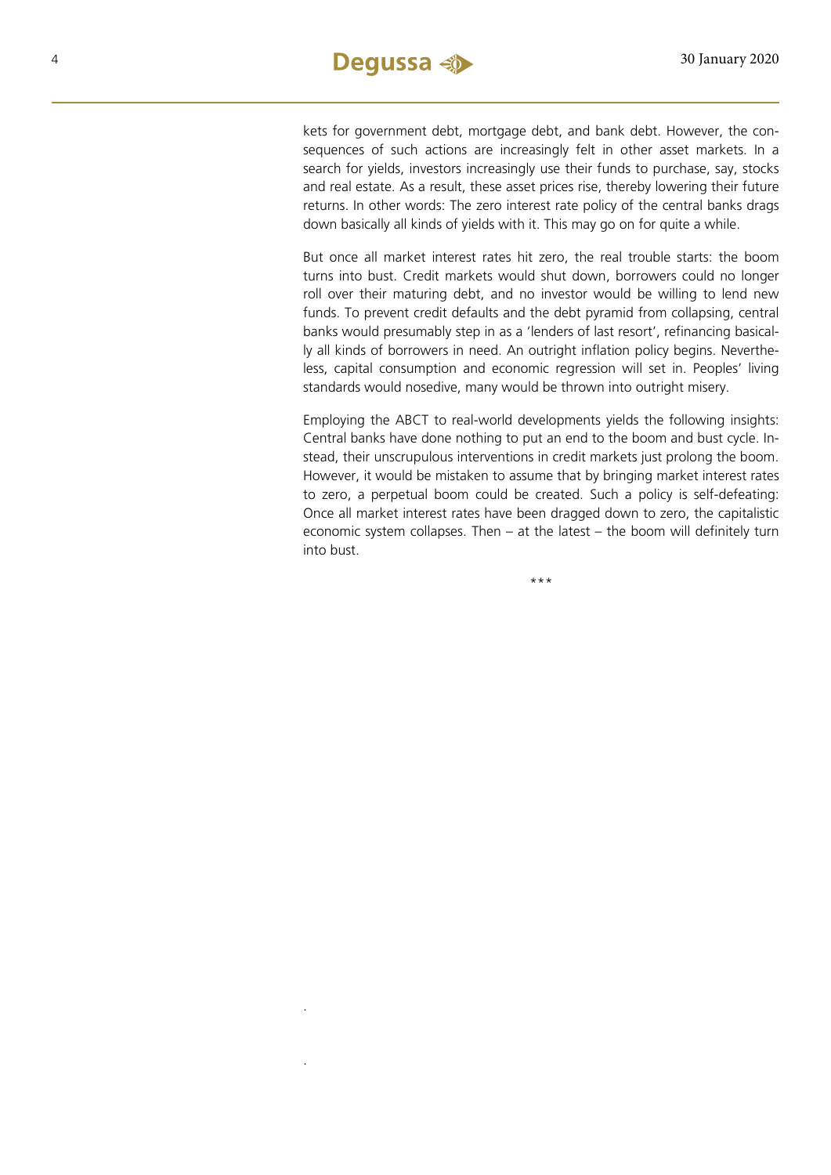.

.

kets for government debt, mortgage debt, and bank debt. However, the consequences of such actions are increasingly felt in other asset markets. In a search for yields, investors increasingly use their funds to purchase, say, stocks and real estate. As a result, these asset prices rise, thereby lowering their future returns. In other words: The zero interest rate policy of the central banks drags down basically all kinds of yields with it. This may go on for quite a while.

But once all market interest rates hit zero, the real trouble starts: the boom turns into bust. Credit markets would shut down, borrowers could no longer roll over their maturing debt, and no investor would be willing to lend new funds. To prevent credit defaults and the debt pyramid from collapsing, central banks would presumably step in as a 'lenders of last resort', refinancing basically all kinds of borrowers in need. An outright inflation policy begins. Nevertheless, capital consumption and economic regression will set in. Peoples' living standards would nosedive, many would be thrown into outright misery.

Employing the ABCT to real-world developments yields the following insights: Central banks have done nothing to put an end to the boom and bust cycle. Instead, their unscrupulous interventions in credit markets just prolong the boom. However, it would be mistaken to assume that by bringing market interest rates to zero, a perpetual boom could be created. Such a policy is self-defeating: Once all market interest rates have been dragged down to zero, the capitalistic economic system collapses. Then – at the latest – the boom will definitely turn into bust.

\*\*\*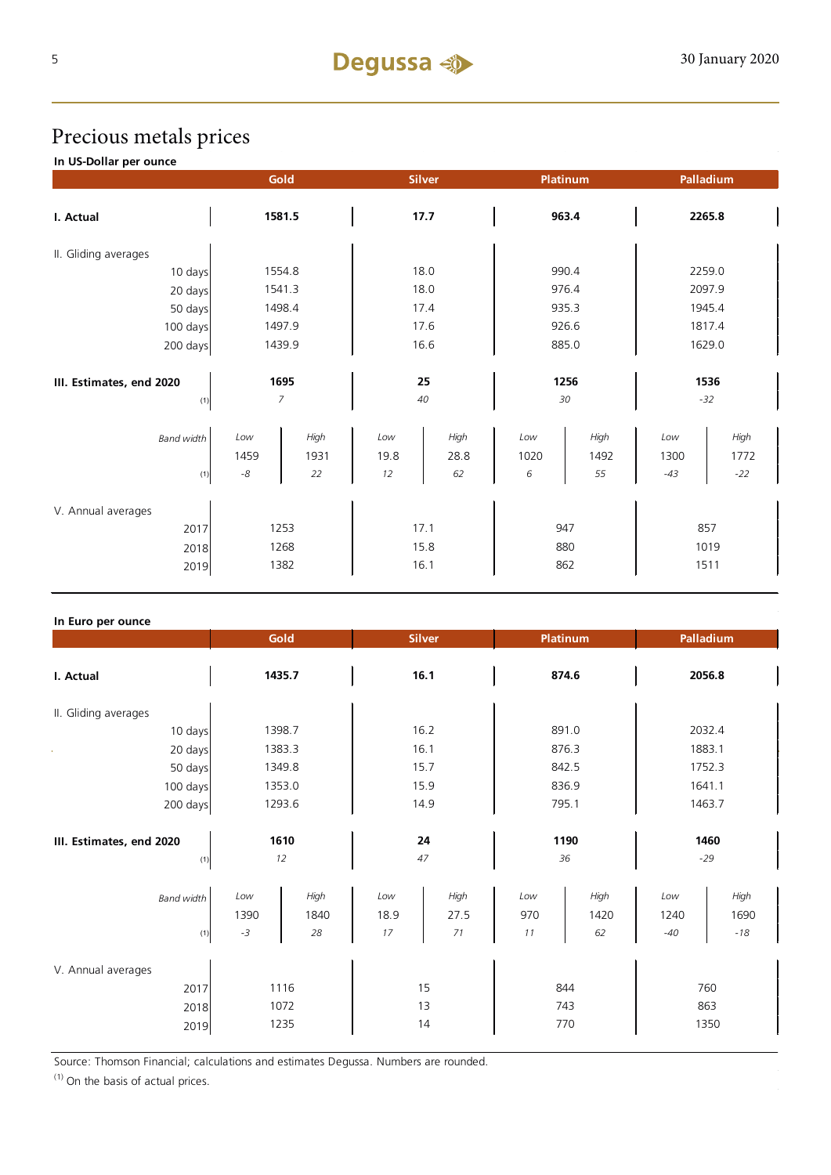## Precious metals prices

**In US-Dollar per ounce**

|                                  | Gold              |                    | <b>Silver</b>     |                    | Platinum         |                    | Palladium            |                       |
|----------------------------------|-------------------|--------------------|-------------------|--------------------|------------------|--------------------|----------------------|-----------------------|
| I. Actual                        | 1581.5            |                    | 17.7              |                    | 963.4            |                    | 2265.8               |                       |
| II. Gliding averages             |                   |                    |                   |                    |                  |                    |                      |                       |
| 10 days                          |                   | 1554.8             | 18.0              |                    | 990.4            |                    | 2259.0               |                       |
| 20 days                          | 1541.3            |                    | 18.0              |                    | 976.4            |                    | 2097.9               |                       |
| 50 days                          |                   | 1498.4             | 17.4              |                    | 935.3            |                    | 1945.4               |                       |
| 100 days                         |                   | 1497.9             | 17.6              |                    | 926.6            |                    | 1817.4               |                       |
| 200 days                         | 1439.9            |                    | 16.6              |                    | 885.0            |                    | 1629.0               |                       |
| 1695<br>III. Estimates, end 2020 |                   | 25                 |                   | 1256               |                  | 1536               |                      |                       |
| (1)                              |                   | 7                  |                   | 40                 |                  | 30                 |                      | $-32$                 |
| <b>Band width</b><br>(1)         | Low<br>1459<br>-8 | High<br>1931<br>22 | Low<br>19.8<br>12 | High<br>28.8<br>62 | Low<br>1020<br>6 | High<br>1492<br>55 | Low<br>1300<br>$-43$ | High<br>1772<br>$-22$ |
|                                  |                   |                    |                   |                    |                  |                    |                      |                       |
| V. Annual averages               |                   |                    |                   |                    |                  |                    |                      |                       |
| 2017                             | 1253              |                    | 17.1              |                    | 947              |                    | 857                  |                       |
| 2018                             | 1268              |                    | 15.8              |                    | 880              |                    | 1019                 |                       |
| 2019                             | 1382              |                    | 16.1              |                    | 862              |                    | 1511                 |                       |

#### **In Euro per ounce**

| == p=.                                     | Gold                 |                    | <b>Silver</b>     |                    | <b>Platinum</b>       |                    | Palladium            |                         |
|--------------------------------------------|----------------------|--------------------|-------------------|--------------------|-----------------------|--------------------|----------------------|-------------------------|
| I. Actual                                  | 1435.7               |                    | 16.1              |                    | 874.6                 |                    | 2056.8               |                         |
| II. Gliding averages                       |                      |                    |                   |                    |                       |                    |                      |                         |
| 10 days                                    |                      | 1398.7             | 16.2              |                    | 891.0                 |                    | 2032.4               |                         |
| 20 days                                    |                      | 1383.3             | 16.1              |                    | 876.3                 |                    | 1883.1               |                         |
| 50 days                                    |                      | 1349.8             | 15.7              |                    | 842.5                 |                    | 1752.3               |                         |
| 100 days                                   |                      | 1353.0             | 15.9              |                    | 836.9                 |                    | 1641.1               |                         |
| 200 days                                   | 1293.6               |                    | 14.9              |                    | 795.1                 |                    | 1463.7               |                         |
| III. Estimates, end 2020<br>(1)            | 1610<br>12           |                    | 24<br>47          |                    | 1190<br>36            |                    | 1460<br>$-29$        |                         |
| <b>Band width</b><br>(1)                   | Low<br>1390<br>$-3$  | High<br>1840<br>28 | Low<br>18.9<br>17 | High<br>27.5<br>71 | $_{Low}$<br>970<br>11 | High<br>1420<br>62 | Low<br>1240<br>$-40$ | High<br>1690<br>$-18\,$ |
| V. Annual averages<br>2017<br>2018<br>2019 | 1116<br>1072<br>1235 |                    | 15<br>13<br>14    |                    | 844<br>743<br>770     |                    | 760<br>863<br>1350   |                         |

Source: Thomson Financial; calculations and estimates Degussa. Numbers are rounded.

 $(1)$  On the basis of actual prices.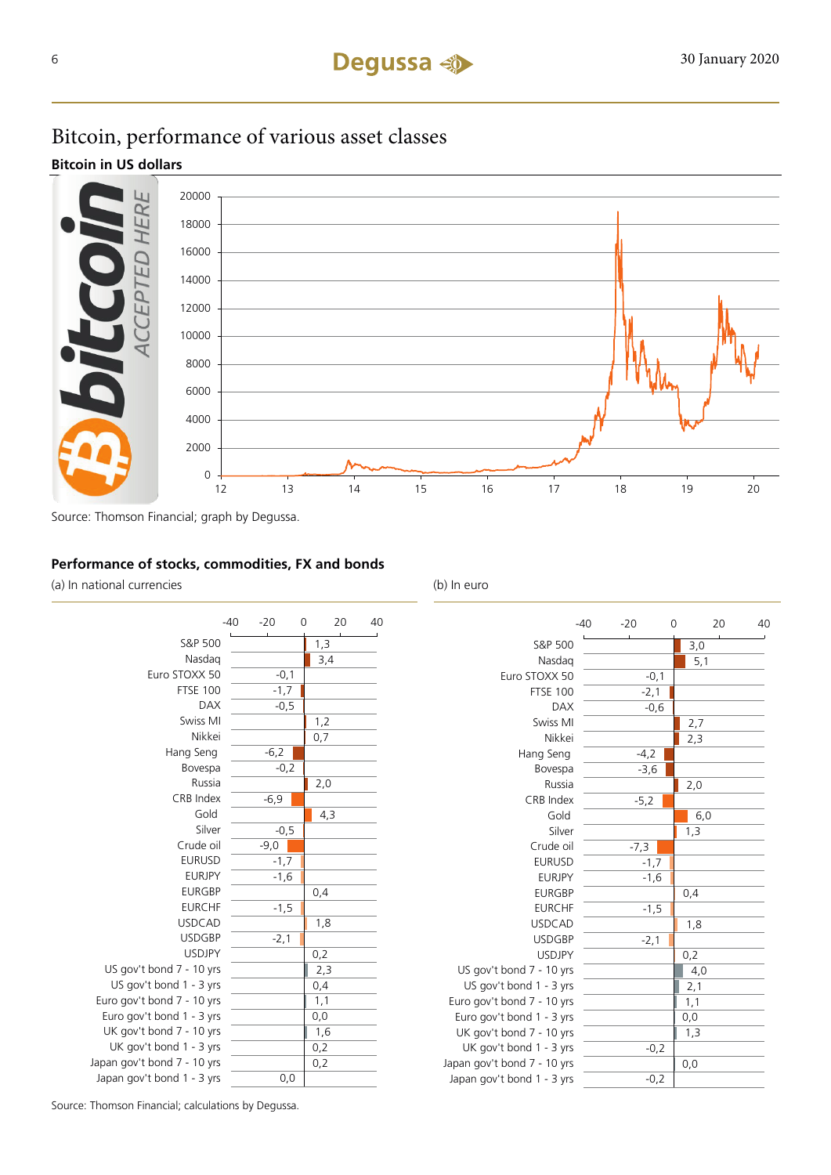## Bitcoin, performance of various asset classes

#### **Bitcoin in US dollars**



Source: Thomson Financial; graph by Degussa.

#### **Performance of stocks, commodities, FX and bonds**

(a) In national currencies (b) In euro



|                             | $-40$ | $-20$  | 0      |     | 20 | 40 |
|-----------------------------|-------|--------|--------|-----|----|----|
| S&P 500                     |       |        |        | 3,0 |    |    |
| Nasdag                      |       |        |        | 5,1 |    |    |
| Euro STOXX 50               |       |        | $-0,1$ |     |    |    |
| <b>FTSE 100</b>             |       | $-2,1$ |        |     |    |    |
| <b>DAX</b>                  |       |        | $-0,6$ |     |    |    |
| Swiss MI                    |       |        |        | 2,7 |    |    |
| Nikkei                      |       |        |        | 2,3 |    |    |
| Hang Seng                   |       | $-4,2$ |        |     |    |    |
| Bovespa                     |       | $-3,6$ |        |     |    |    |
| Russia                      |       |        |        | 2,0 |    |    |
| CRB Index                   |       | $-5,2$ |        |     |    |    |
| Gold                        |       |        |        | 6,0 |    |    |
| Silver                      |       |        |        | 1,3 |    |    |
| Crude oil                   |       | $-7,3$ |        |     |    |    |
| <b>EURUSD</b>               |       | $-1,7$ |        |     |    |    |
| <b>EURJPY</b>               |       | $-1,6$ |        |     |    |    |
| <b>EURGBP</b>               |       |        |        | 0,4 |    |    |
| <b>EURCHF</b>               |       | $-1,5$ |        |     |    |    |
| <b>USDCAD</b>               |       |        |        | 1,8 |    |    |
| <b>USDGBP</b>               |       | $-2,1$ |        |     |    |    |
| <b>USDJPY</b>               |       |        |        | 0,2 |    |    |
| US gov't bond 7 - 10 yrs    |       |        |        | 4,0 |    |    |
| US gov't bond 1 - 3 yrs     |       |        |        | 2,1 |    |    |
| Euro gov't bond 7 - 10 yrs  |       |        |        | 1,1 |    |    |
| Euro gov't bond 1 - 3 yrs   |       |        |        | 0,0 |    |    |
| UK gov't bond 7 - 10 yrs    |       |        |        | 1,3 |    |    |
| UK gov't bond 1 - 3 yrs     |       |        | $-0,2$ |     |    |    |
| Japan gov't bond 7 - 10 yrs |       |        |        | 0,0 |    |    |
| Japan gov't bond 1 - 3 yrs  |       |        | $-0,2$ |     |    |    |

Source: Thomson Financial; calculations by Degussa.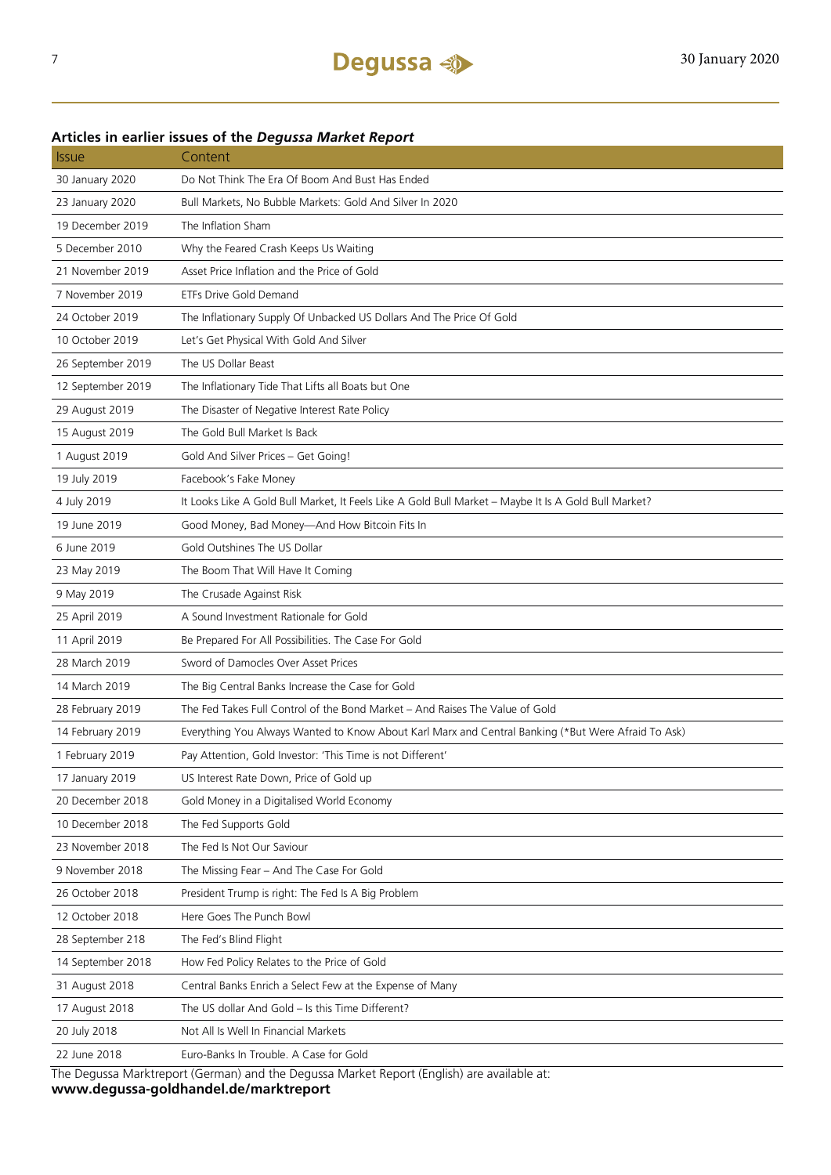| <b>Issue</b>      | Content                                                                                              |
|-------------------|------------------------------------------------------------------------------------------------------|
| 30 January 2020   | Do Not Think The Era Of Boom And Bust Has Ended                                                      |
| 23 January 2020   | Bull Markets, No Bubble Markets: Gold And Silver In 2020                                             |
| 19 December 2019  | The Inflation Sham                                                                                   |
| 5 December 2010   | Why the Feared Crash Keeps Us Waiting                                                                |
| 21 November 2019  | Asset Price Inflation and the Price of Gold                                                          |
| 7 November 2019   | ETFs Drive Gold Demand                                                                               |
| 24 October 2019   | The Inflationary Supply Of Unbacked US Dollars And The Price Of Gold                                 |
| 10 October 2019   | Let's Get Physical With Gold And Silver                                                              |
| 26 September 2019 | The US Dollar Beast                                                                                  |
| 12 September 2019 | The Inflationary Tide That Lifts all Boats but One                                                   |
| 29 August 2019    | The Disaster of Negative Interest Rate Policy                                                        |
| 15 August 2019    | The Gold Bull Market Is Back                                                                         |
| 1 August 2019     | Gold And Silver Prices - Get Going!                                                                  |
| 19 July 2019      | Facebook's Fake Money                                                                                |
| 4 July 2019       | It Looks Like A Gold Bull Market, It Feels Like A Gold Bull Market - Maybe It Is A Gold Bull Market? |
| 19 June 2019      | Good Money, Bad Money-And How Bitcoin Fits In                                                        |
| 6 June 2019       | Gold Outshines The US Dollar                                                                         |
| 23 May 2019       | The Boom That Will Have It Coming                                                                    |
| 9 May 2019        | The Crusade Against Risk                                                                             |
| 25 April 2019     | A Sound Investment Rationale for Gold                                                                |
| 11 April 2019     | Be Prepared For All Possibilities. The Case For Gold                                                 |
| 28 March 2019     | Sword of Damocles Over Asset Prices                                                                  |
| 14 March 2019     | The Big Central Banks Increase the Case for Gold                                                     |
| 28 February 2019  | The Fed Takes Full Control of the Bond Market – And Raises The Value of Gold                         |
| 14 February 2019  | Everything You Always Wanted to Know About Karl Marx and Central Banking (*But Were Afraid To Ask)   |
| 1 February 2019   | Pay Attention, Gold Investor: 'This Time is not Different'                                           |
| 17 January 2019   | US Interest Rate Down, Price of Gold up                                                              |
| 20 December 2018  | Gold Money in a Digitalised World Economy                                                            |
| 10 December 2018  | The Fed Supports Gold                                                                                |
| 23 November 2018  | The Fed Is Not Our Saviour                                                                           |
| 9 November 2018   | The Missing Fear - And The Case For Gold                                                             |
| 26 October 2018   | President Trump is right: The Fed Is A Big Problem                                                   |
| 12 October 2018   | Here Goes The Punch Bowl                                                                             |
| 28 September 218  | The Fed's Blind Flight                                                                               |
| 14 September 2018 | How Fed Policy Relates to the Price of Gold                                                          |
| 31 August 2018    | Central Banks Enrich a Select Few at the Expense of Many                                             |
| 17 August 2018    | The US dollar And Gold - Is this Time Different?                                                     |
| 20 July 2018      | Not All Is Well In Financial Markets                                                                 |
| 22 June 2018      | Euro-Banks In Trouble. A Case for Gold                                                               |
|                   | The Degussa Marktreport (German) and the Degussa Market Report (English) are available at:           |

#### **Articles in earlier issues of the** *Degussa Market Report*

The Degussa Marktreport (German) and the Degussa Market Report (English) are available at: **www.degussa-goldhandel.de/marktreport**